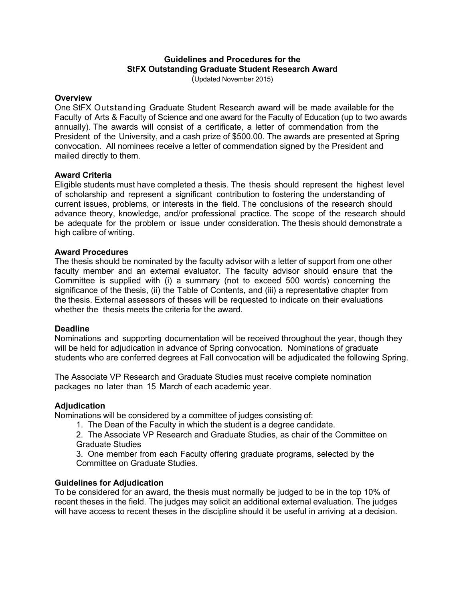# **Guidelines and Procedures for the StFX Outstanding Graduate Student Research Award**

(Updated November 2015)

#### **Overview**

One StFX Outstanding Graduate Student Research award will be made available for the Faculty of Arts & Faculty of Science and one award for the Faculty of Education (up to two awards annually). The awards will consist of a certificate, a letter of commendation from the President of the University, and a cash prize of \$500.00. The awards are presented at Spring convocation.All nominees receive a letter of commendation signed by the President and mailed directly to them.

### **Award Criteria**

Eligible students must have completed a thesis. The thesis should represent the highest level of scholarship and represent a significant contribution to fostering the understanding of current issues, problems, or interests in the field. The conclusions of the research should advance theory, knowledge, and/or professional practice. The scope of the research should be adequate for the problem or issue under consideration. The thesis should demonstrate a high calibre of writing.

#### **Award Procedures**

The thesis should be nominated by the faculty advisor with a letter of support from one other faculty member and an external evaluator. The faculty advisor should ensure that the Committee is supplied with (i) a summary (not to exceed 500 words) concerning the significance of the thesis, (ii) the Table of Contents, and (iii) a representative chapter from the thesis. External assessors of theses will be requested to indicate on their evaluations whether the thesis meets the criteria for the award.

### **Deadline**

Nominations and supporting documentation will be received throughout the year, though they will be held for adjudication in advance of Spring convocation. Nominations of graduate students who are conferred degrees at Fall convocation will be adjudicated the following Spring.

The Associate VP Research and Graduate Studies must receive complete nomination packages no later than 15 March of each academic year.

#### **Adjudication**

Nominations will be considered by a committee of judges consisting of:

1. The Dean of the Faculty in which the student is a degree candidate.

2. The Associate VP Research and Graduate Studies, as chair of the Committee on Graduate Studies

3. One member from each Faculty offering graduate programs, selected by the Committee on Graduate Studies.

### **Guidelines for Adjudication**

To be considered for an award, the thesis must normally be judged to be in the top 10% of recent theses in the field. The judges may solicit an additional external evaluation. The judges will have access to recent theses in the discipline should it be useful in arriving at a decision.